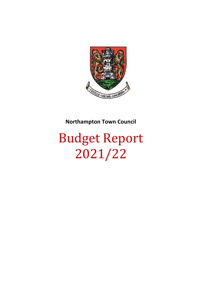

## **Northampton Town Council**

## Budget Report 2021/22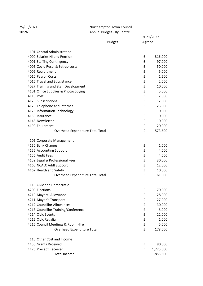## 25/05/2021 Northampton Town Council 10:26 Annual Budget - By Centre

2021/2022

|                                     | <b>Budget</b> |   | Agreed    |  |
|-------------------------------------|---------------|---|-----------|--|
| 101 Central Administration          |               |   |           |  |
| 4000 Salaries NI and Pension        |               | £ | 316,000   |  |
| 4001 Staffing Contingency           |               | £ | 97,000    |  |
| 4005 Covid Resp' & Set-up costs     |               | £ | 50,000    |  |
| 4006 Recruitment                    |               | £ | 5,000     |  |
| 4010 Payroll Costs                  |               | £ | 1,500     |  |
| 4015 Travel and Subsistance         |               | £ | 2,000     |  |
| 4027 Training and Staff Development |               | £ | 10,000    |  |
| 4101 Office Supplies & Photocopying |               | £ | 5,000     |  |
| 4110 Post                           |               | £ | 2,000     |  |
| 4120 Subscriptions                  |               | £ | 12,000    |  |
| 4125 Telephone and Internet         |               | £ | 23,000    |  |
| 4128 Information Technology         |               | £ | 10,000    |  |
| 4130 Insurance                      |               | £ | 10,000    |  |
| 4143 Newsletter                     |               | £ | 10,000    |  |
| 4190 Equipment                      |               | £ | 20,000    |  |
| Overhead Expenditure Total Total    |               | £ | 573,500   |  |
| 105 Corporate Management            |               |   |           |  |
| 4150 Bank Charges                   |               | £ | 1,000     |  |
| 4155 Accounting Support             |               | £ | 4,000     |  |
| 4156 Audit Fees                     |               | £ | 4,000     |  |
| 4159 Legal & Professional Fees      |               | £ | 30,000    |  |
| 4160 NCALC Addl Support             |               | £ | 12,000    |  |
| 4162 Health and Safety              |               | £ | 10,000    |  |
| Overhead Expenditure Total Total    |               | £ | 61,000    |  |
| 110 Civic and Democratic            |               |   |           |  |
| 4200 Elections                      |               | £ | 70,000    |  |
| 4210 Mayoral Allowance              |               | £ | 28,000    |  |
| 4211 Mayor's Transport              |               | £ | 27,000    |  |
| 4212 Councillor Allowances          |               | £ | 30,000    |  |
| 4213 Councillor Training/Conference |               | £ | 5,000     |  |
| 4214 Civic Events                   |               | £ | 12,000    |  |
| 4215 Civic Regalia                  |               | £ | 1,000     |  |
| 4216 Council Meetings & Room Hire   |               | £ | 5,000     |  |
| Overhead Expenditure Total          |               | £ | 178,000   |  |
| 115 Other Cost and Income           |               |   |           |  |
| 1150 Grants Received                |               | £ | 80,000    |  |
| 1176 Precept Received               |               | £ | 1,775,500 |  |
| <b>Total Income</b>                 |               | £ | 1,855,500 |  |